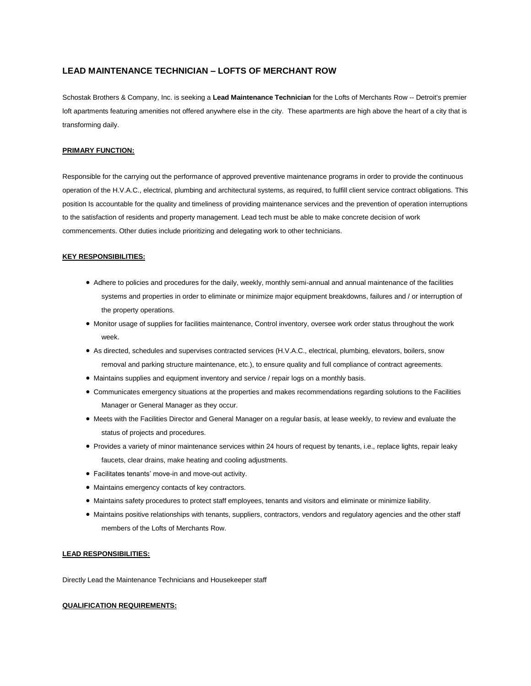# **LEAD MAINTENANCE TECHNICIAN – LOFTS OF MERCHANT ROW**

Schostak Brothers & Company, Inc. is seeking a **Lead Maintenance Technician** for the Lofts of Merchants Row -- Detroit's premier loft apartments featuring amenities not offered anywhere else in the city. These apartments are high above the heart of a city that is transforming daily.

#### **PRIMARY FUNCTION:**

Responsible for the carrying out the performance of approved preventive maintenance programs in order to provide the continuous operation of the H.V.A.C., electrical, plumbing and architectural systems, as required, to fulfill client service contract obligations. This position Is accountable for the quality and timeliness of providing maintenance services and the prevention of operation interruptions to the satisfaction of residents and property management. Lead tech must be able to make concrete decision of work commencements. Other duties include prioritizing and delegating work to other technicians.

## **KEY RESPONSIBILITIES:**

- Adhere to policies and procedures for the daily, weekly, monthly semi-annual and annual maintenance of the facilities systems and properties in order to eliminate or minimize major equipment breakdowns, failures and / or interruption of the property operations.
- Monitor usage of supplies for facilities maintenance, Control inventory, oversee work order status throughout the work week.
- As directed, schedules and supervises contracted services (H.V.A.C., electrical, plumbing, elevators, boilers, snow removal and parking structure maintenance, etc.), to ensure quality and full compliance of contract agreements.
- $\bullet$  Maintains supplies and equipment inventory and service / repair logs on a monthly basis.
- Communicates emergency situations at the properties and makes recommendations regarding solutions to the Facilities Manager or General Manager as they occur.
- Meets with the Facilities Director and General Manager on a regular basis, at lease weekly, to review and evaluate the status of projects and procedures.
- Provides a variety of minor maintenance services within 24 hours of request by tenants, i.e., replace lights, repair leaky faucets, clear drains, make heating and cooling adjustments.
- Facilitates tenants' move-in and move-out activity.
- Maintains emergency contacts of key contractors.
- Maintains safety procedures to protect staff employees, tenants and visitors and eliminate or minimize liability.
- Maintains positive relationships with tenants, suppliers, contractors, vendors and regulatory agencies and the other staff members of the Lofts of Merchants Row.

### **LEAD RESPONSIBILITIES:**

Directly Lead the Maintenance Technicians and Housekeeper staff

#### **QUALIFICATION REQUIREMENTS:**